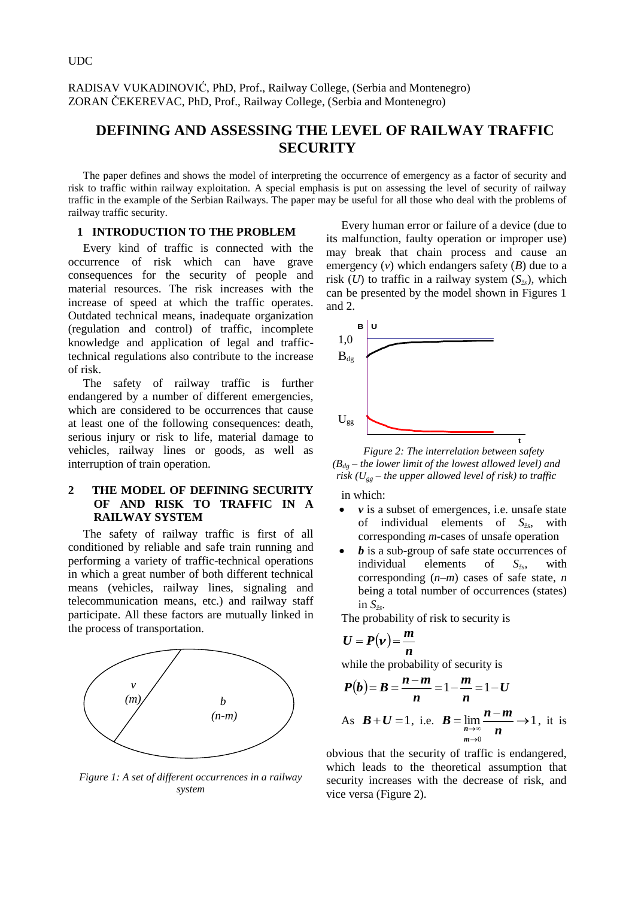RADISAV VUKADINOVIĆ, PhD, Prof., Railway College, (Serbia and Montenegro) ZORAN ČEKEREVAC, PhD, Prof., Railway College, (Serbia and Montenegro)

# **DEFINING AND ASSESSING THE LEVEL OF RAILWAY TRAFFIC SECURITY**

The paper defines and shows the model of interpreting the occurrence of emergency as a factor of security and risk to traffic within railway exploitation. A special emphasis is put on assessing the level of security of railway traffic in the example of the Serbian Railways. The paper may be useful for all those who deal with the problems of railway traffic security.

#### **1 INTRODUCTION TO THE PROBLEM**

Every kind of traffic is connected with the occurrence of risk which can have grave consequences for the security of people and material resources. The risk increases with the increase of speed at which the traffic operates. Outdated technical means, inadequate organization (regulation and control) of traffic, incomplete knowledge and application of legal and traffictechnical regulations also contribute to the increase of risk.

The safety of railway traffic is further endangered by a number of different emergencies, which are considered to be occurrences that cause at least one of the following consequences: death, serious injury or risk to life, material damage to vehicles, railway lines or goods, as well as interruption of train operation.

## **2 THE MODEL OF DEFINING SECURITY OF AND RISK TO TRAFFIC IN A RAILWAY SYSTEM**

The safety of railway traffic is first of all conditioned by reliable and safe train running and performing a variety of traffic-technical operations in which a great number of both different technical means (vehicles, railway lines, signaling and telecommunication means, etc.) and railway staff participate. All these factors are mutually linked in the process of transportation.



*Figure 1: A set of different occurrences in a railway system*

Every human error or failure of a device (due to its malfunction, faulty operation or improper use) may break that chain process and cause an emergency  $(v)$  which endangers safety  $(B)$  due to a risk (*U*) to traffic in a railway system  $(S_{\xi s})$ , which can be presented by the model shown in Figures 1 and 2.



*Figure 2: The interrelation between safety*   $(B_{d} - t$ *he lower limit of the lowest allowed level) and risk (Ugg – the upper allowed level of risk) to traffic*

in which:

- *v* is a subset of emergences, i.e. unsafe state of individual elements of *Sžs* , with corresponding *m*-cases of unsafe operation
- *b* is a sub-group of safe state occurrences of individual elements of *Sžs* , with corresponding (*n–m*) cases of safe state, *n* being a total number of occurrences (states) in *Sžs* .

The probability of risk to security is

$$
U=P(v)=\frac{m}{n}
$$

while the probability of security is

$$
P(b) = B = \frac{n-m}{n} = 1 - \frac{m}{n} = 1 - U
$$
  
As  $B + U = 1$ , i.e.  $B = \lim_{n \to \infty} \frac{n-m}{n} \to 1$ , it is

 $m\rightarrow 0$ 

obvious that the security of traffic is endangered, which leads to the theoretical assumption that security increases with the decrease of risk, and vice versa (Figure 2).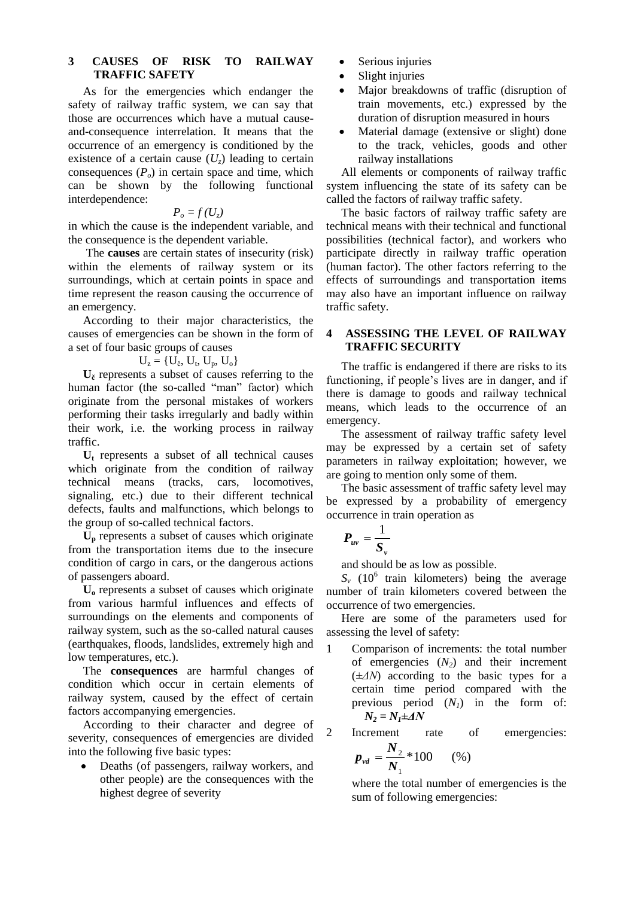## **3 CAUSES OF RISK TO RAILWAY TRAFFIC SAFETY**

As for the emergencies which endanger the safety of railway traffic system, we can say that those are occurrences which have a mutual causeand-consequence interrelation. It means that the occurrence of an emergency is conditioned by the existence of a certain cause  $(U<sub>z</sub>)$  leading to certain consequences  $(P_o)$  in certain space and time, which can be shown by the following functional interdependence:

$$
P_o = f(U_z)
$$

in which the cause is the independent variable, and the consequence is the dependent variable.

The **causes** are certain states of insecurity (risk) within the elements of railway system or its surroundings, which at certain points in space and time represent the reason causing the occurrence of an emergency.

According to their major characteristics, the causes of emergencies can be shown in the form of a set of four basic groups of causes

$$
U_z=\{U_\text{c},\,U_\text{t},\,U_\text{p},\,U_\text{o}\}
$$

 $U_{\zeta}$  represents a subset of causes referring to the human factor (the so-called "man" factor) which originate from the personal mistakes of workers performing their tasks irregularly and badly within their work, i.e. the working process in railway traffic.

**U<sup>t</sup>** represents a subset of all technical causes which originate from the condition of railway technical means (tracks, cars, locomotives, signaling, etc.) due to their different technical defects, faults and malfunctions, which belongs to the group of so-called technical factors.

**U<sup>p</sup>** represents a subset of causes which originate from the transportation items due to the insecure condition of cargo in cars, or the dangerous actions of passengers aboard.

**U<sup>o</sup>** represents a subset of causes which originate from various harmful influences and effects of surroundings on the elements and components of railway system, such as the so-called natural causes (earthquakes, floods, landslides, extremely high and low temperatures, etc.).

The **consequences** are harmful changes of condition which occur in certain elements of railway system, caused by the effect of certain factors accompanying emergencies.

According to their character and degree of severity, consequences of emergencies are divided into the following five basic types:

 Deaths (of passengers, railway workers, and other people) are the consequences with the highest degree of severity

- Serious injuries
- Slight injuries
- Major breakdowns of traffic (disruption of train movements, etc.) expressed by the duration of disruption measured in hours
- Material damage (extensive or slight) done to the track, vehicles, goods and other railway installations

All elements or components of railway traffic system influencing the state of its safety can be called the factors of railway traffic safety.

The basic factors of railway traffic safety are technical means with their technical and functional possibilities (technical factor), and workers who participate directly in railway traffic operation (human factor). The other factors referring to the effects of surroundings and transportation items may also have an important influence on railway traffic safety.

# **4 ASSESSING THE LEVEL OF RAILWAY TRAFFIC SECURITY**

The traffic is endangered if there are risks to its functioning, if people's lives are in danger, and if there is damage to goods and railway technical means, which leads to the occurrence of an emergency.

The assessment of railway traffic safety level may be expressed by a certain set of safety parameters in railway exploitation; however, we are going to mention only some of them.

The basic assessment of traffic safety level may be expressed by a probability of emergency occurrence in train operation as

$$
P_{uv}=\frac{1}{S_v}
$$

and should be as low as possible.

 $S_v$  (10<sup>6</sup> train kilometers) being the average number of train kilometers covered between the occurrence of two emergencies.

Here are some of the parameters used for assessing the level of safety:

- 1 Comparison of increments: the total number of emergencies (*N2*) and their increment (*±ΔN*) according to the basic types for a certain time period compared with the previous period  $(N<sub>I</sub>)$  in the form of: *N<sup>2</sup> = N1±ΔN*
- 2 Increment rate of emergencies:

$$
p_{vd} = \frac{N_2}{N_1} * 100 \qquad (*)
$$

where the total number of emergencies is the sum of following emergencies: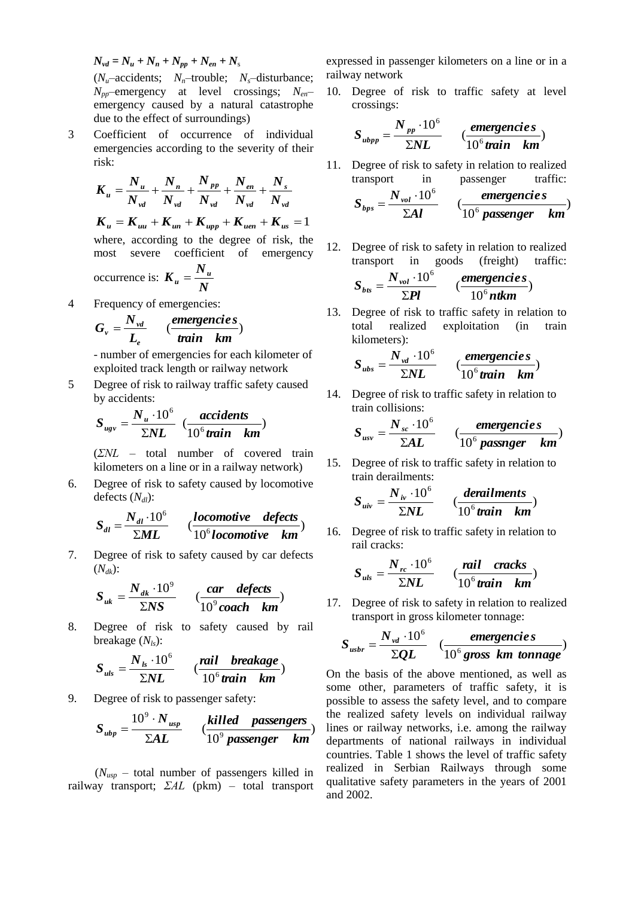$N_{vd} = N_u + N_n + N_{pp} + N_{en} + N_s$ 

 $(N_u$ –accidents;  $N_n$ –trouble;  $N_s$ –disturbance; *Npp*–emergency at level crossings; *Nen*– emergency caused by a natural catastrophe due to the effect of surroundings)

3 Coefficient of occurrence of individual emergencies according to the severity of their risk:

$$
K_u = \frac{N_u}{N_{vd}} + \frac{N_n}{N_{vd}} + \frac{N_{pp}}{N_{vd}} + \frac{N_{en}}{N_{vd}} + \frac{N_s}{N_{vd}}
$$
  

$$
K_u = K_{uu} + K_{un} + K_{upp} + K_{uen} + K_{us} = 1
$$
  
where, according to the degree of risk, the  
most severe coefficient of emergency

occurrence is: *N*  $K_u = \frac{N_u}{N}$ 

4 Frequency of emergencies:

$$
G_{v} = \frac{N_{vd}}{L_{e}} \qquad \left(\frac{\text{emergencies}}{\text{train}}\right)
$$

- number of emergencies for each kilometer of exploited track length or railway network

5 Degree of risk to railway traffic safety caused by accidents:

$$
S_{ugv} = \frac{N_u \cdot 10^6}{\Sigma NL} \cdot \frac{accidents}{10^6 train \ km})
$$

(*ΣNL* – total number of covered train kilometers on a line or in a railway network)

6. Degree of risk to safety caused by locomotive defects  $(N_d)$ :

$$
S_{dl} = \frac{N_{dl} \cdot 10^6}{\Sigma ML} \qquad \left(\frac{locomotive \quad defects}{10^6 locomotive \quad km}\right)
$$

7. Degree of risk to safety caused by car defects (*Ndk*):

$$
S_{uk} = \frac{N_{dk} \cdot 10^9}{\Sigma NS} \qquad \left(\frac{car \ \ defects}{10^9 \text{ coach } km}\right)
$$

8. Degree of risk to safety caused by rail breakage (*Nls*):

$$
S_{uls} = \frac{N_{ls} \cdot 10^6}{\Sigma NL} \qquad (\frac{tail \quad breakage}{10^6 train \quad km})
$$

9. Degree of risk to passenger safety:

$$
S_{\textit{ubp}} = \frac{10^9 \cdot N_{\textit{usp}}}{\Sigma A L} \qquad \left(\frac{\textit{killed} \textit{passengers}}{10^9 \textit{passenger} \textit{km}}\right)
$$

 (*Nusp* – total number of passengers killed in railway transport; *ΣAL* (pkm) – total transport expressed in passenger kilometers on a line or in a railway network

10. Degree of risk to traffic safety at level crossings:

$$
S_{\textit{ubpp}} = \frac{N_{\textit{pp}} \cdot 10^6}{\Sigma NL} \qquad (\frac{\textit{emergencies}}{10^6 \textit{train} \cdot \textit{km}})
$$

11. Degree of risk to safety in relation to realized transport in passenger traffic:

$$
S_{bps} = \frac{N_{vol} \cdot 10^6}{\Sigma A l} \qquad \left(\frac{\text{emergencies}}{10^6 \text{ passenger } km}\right)
$$

12. Degree of risk to safety in relation to realized transport in goods (freight) traffic:

$$
S_{bs} = \frac{N_{vol} \cdot 10^6}{\Sigma Pl} \qquad (\frac{\text{emergencies}}{10^6 \text{ntkm}})
$$

13. Degree of risk to traffic safety in relation to total realized exploitation (in train kilometers):

$$
S_{\textit{ubs}} = \frac{N_{\textit{vd}} \cdot 10^6}{\Sigma NL} \qquad \left(\frac{\textit{emergencies}}{10^6 \textit{train} \cdot \textit{km}}\right)
$$

14. Degree of risk to traffic safety in relation to train collisions:

$$
S_{usv} = \frac{N_{sc} \cdot 10^6}{\Sigma A L} \qquad \left(\frac{\text{emergencies}}{10^6 \text{ passenger } km}\right)
$$

15. Degree of risk to traffic safety in relation to train derailments:

$$
S_{\text{div}} = \frac{N_{\text{iv}} \cdot 10^6}{\Sigma NL} \qquad \left(\frac{\text{derailments}}{10^6 \text{train} \cdot \text{km}}\right)
$$

16. Degree of risk to traffic safety in relation to rail cracks:

$$
S_{uls} = \frac{N_{rc} \cdot 10^6}{\Sigma NL} \qquad (\frac{tail \quad {cacks}}{10^6 train \quad km})
$$

17. Degree of risk to safety in relation to realized transport in gross kilometer tonnage:

$$
S_{\text{usbr}} = \frac{N_{\text{vd}} \cdot 10^6}{\Sigma Q L} \quad \left(\frac{\text{emergencies}}{10^6 \text{ gross km tonnage}}\right)
$$

On the basis of the above mentioned, as well as some other, parameters of traffic safety, it is possible to assess the safety level, and to compare the realized safety levels on individual railway lines or railway networks, i.e. among the railway departments of national railways in individual countries. Table 1 shows the level of traffic safety realized in Serbian Railways through some qualitative safety parameters in the years of 2001 and 2002.